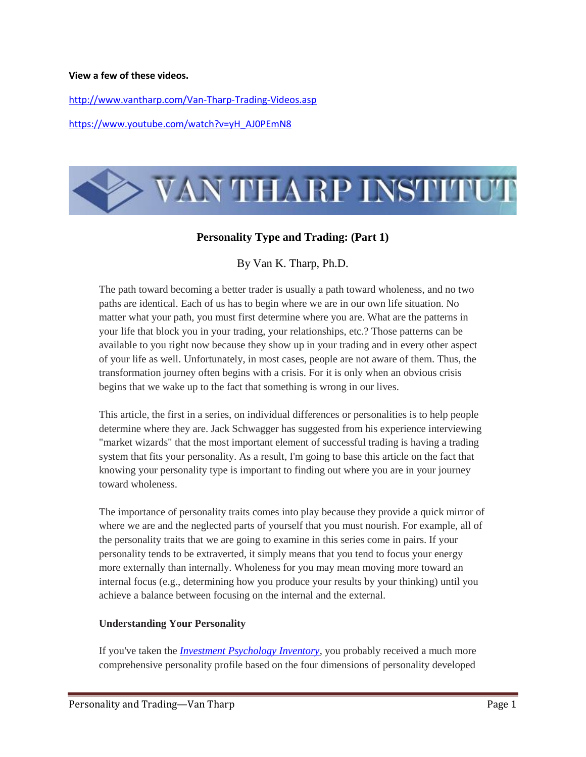#### **View a few of these videos.**

<http://www.vantharp.com/Van-Tharp-Trading-Videos.asp>

[https://www.youtube.com/watch?v=yH\\_AJ0PEmN8](https://www.youtube.com/watch?v=yH_AJ0PEmN8)



## **Personality Type and Trading: (Part 1)**

By Van K. Tharp, Ph.D.

The path toward becoming a better trader is usually a path toward wholeness, and no two paths are identical. Each of us has to begin where we are in our own life situation. No matter what your path, you must first determine where you are. What are the patterns in your life that block you in your trading, your relationships, etc.? Those patterns can be available to you right now because they show up in your trading and in every other aspect of your life as well. Unfortunately, in most cases, people are not aware of them. Thus, the transformation journey often begins with a crisis. For it is only when an obvious crisis begins that we wake up to the fact that something is wrong in our lives.

This article, the first in a series, on individual differences or personalities is to help people determine where they are. Jack Schwagger has suggested from his experience interviewing "market wizards" that the most important element of successful trading is having a trading system that fits your personality. As a result, I'm going to base this article on the fact that knowing your personality type is important to finding out where you are in your journey toward wholeness.

The importance of personality traits comes into play because they provide a quick mirror of where we are and the neglected parts of yourself that you must nourish. For example, all of the personality traits that we are going to examine in this series come in pairs. If your personality tends to be extraverted, it simply means that you tend to focus your energy more externally than internally. Wholeness for you may mean moving more toward an internal focus (e.g., determining how you produce your results by your thinking) until you achieve a balance between focusing on the internal and the external.

#### **Understanding Your Personality**

If you've taken the *[Investment Psychology Inventory](http://www.iitm.com/products/course/profile.htm)*, you probably received a much more comprehensive personality profile based on the four dimensions of personality developed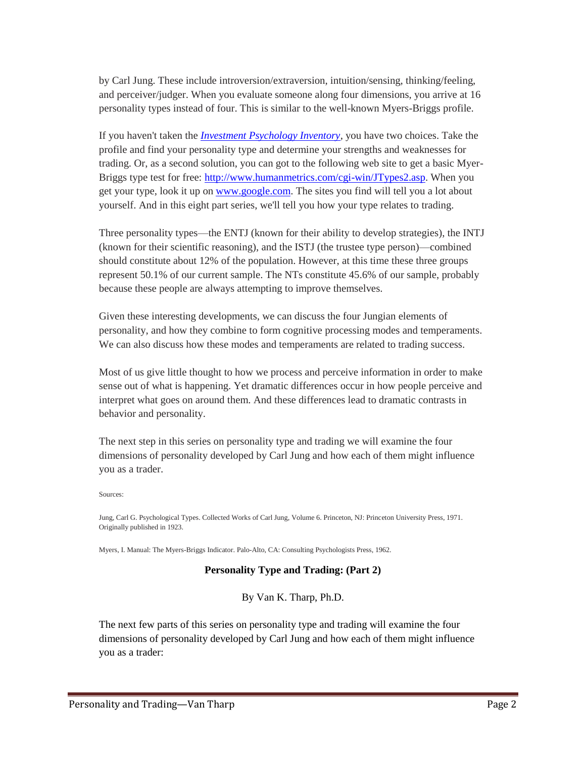by Carl Jung. These include introversion/extraversion, intuition/sensing, thinking/feeling, and perceiver/judger. When you evaluate someone along four dimensions, you arrive at 16 personality types instead of four. This is similar to the well-known Myers-Briggs profile.

If you haven't taken the *[Investment Psychology Inventory](http://www.iitm.com/products/course/profile.htm)*, you have two choices. Take the profile and find your personality type and determine your strengths and weaknesses for trading. Or, as a second solution, you can got to the following web site to get a basic Myer-Briggs type test for free: [http://www.humanmetrics.com/cgi-win/JTypes2.asp.](http://www.humanmetrics.com/cgi-win/JTypes2.asp) When you get your type, look it up on [www.google.com.](http://www.google.com/) The sites you find will tell you a lot about yourself. And in this eight part series, we'll tell you how your type relates to trading.

Three personality types—the ENTJ (known for their ability to develop strategies), the INTJ (known for their scientific reasoning), and the ISTJ (the trustee type person)—combined should constitute about 12% of the population. However, at this time these three groups represent 50.1% of our current sample. The NTs constitute 45.6% of our sample, probably because these people are always attempting to improve themselves.

Given these interesting developments, we can discuss the four Jungian elements of personality, and how they combine to form cognitive processing modes and temperaments. We can also discuss how these modes and temperaments are related to trading success.

Most of us give little thought to how we process and perceive information in order to make sense out of what is happening. Yet dramatic differences occur in how people perceive and interpret what goes on around them. And these differences lead to dramatic contrasts in behavior and personality.

The next step in this series on personality type and trading we will examine the four dimensions of personality developed by Carl Jung and how each of them might influence you as a trader.

Sources:

Jung, Carl G. Psychological Types. Collected Works of Carl Jung, Volume 6. Princeton, NJ: Princeton University Press, 1971. Originally published in 1923.

Myers, I. Manual: The Myers-Briggs Indicator. Palo-Alto, CA: Consulting Psychologists Press, 1962.

#### **Personality Type and Trading: (Part 2)**

By Van K. Tharp, Ph.D.

The next few parts of this series on personality type and trading will examine the four dimensions of personality developed by Carl Jung and how each of them might influence you as a trader: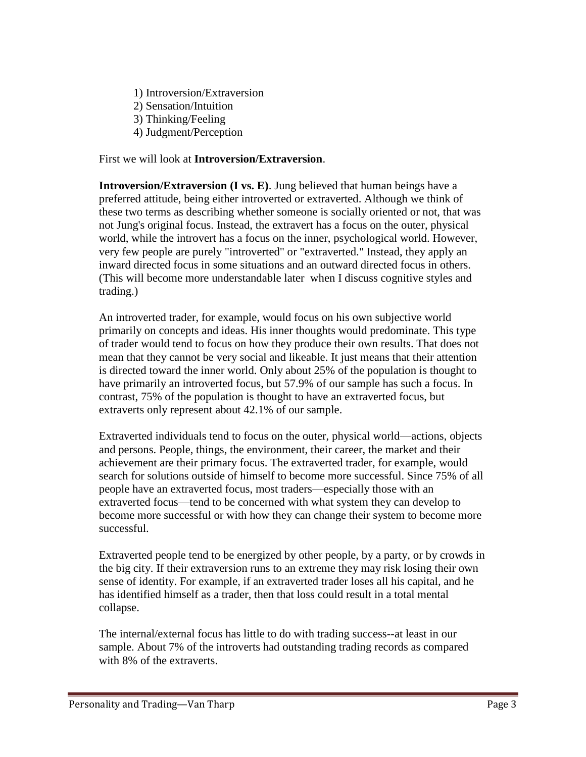- 1) Introversion/Extraversion
- 2) Sensation/Intuition
- 3) Thinking/Feeling
- 4) Judgment/Perception

First we will look at **Introversion/Extraversion**.

**Introversion/Extraversion (I vs. E)**. Jung believed that human beings have a preferred attitude, being either introverted or extraverted. Although we think of these two terms as describing whether someone is socially oriented or not, that was not Jung's original focus. Instead, the extravert has a focus on the outer, physical world, while the introvert has a focus on the inner, psychological world. However, very few people are purely "introverted" or "extraverted." Instead, they apply an inward directed focus in some situations and an outward directed focus in others. (This will become more understandable later when I discuss cognitive styles and trading.)

An introverted trader, for example, would focus on his own subjective world primarily on concepts and ideas. His inner thoughts would predominate. This type of trader would tend to focus on how they produce their own results. That does not mean that they cannot be very social and likeable. It just means that their attention is directed toward the inner world. Only about 25% of the population is thought to have primarily an introverted focus, but 57.9% of our sample has such a focus. In contrast, 75% of the population is thought to have an extraverted focus, but extraverts only represent about 42.1% of our sample.

Extraverted individuals tend to focus on the outer, physical world—actions, objects and persons. People, things, the environment, their career, the market and their achievement are their primary focus. The extraverted trader, for example, would search for solutions outside of himself to become more successful. Since 75% of all people have an extraverted focus, most traders—especially those with an extraverted focus—tend to be concerned with what system they can develop to become more successful or with how they can change their system to become more successful.

Extraverted people tend to be energized by other people, by a party, or by crowds in the big city. If their extraversion runs to an extreme they may risk losing their own sense of identity. For example, if an extraverted trader loses all his capital, and he has identified himself as a trader, then that loss could result in a total mental collapse.

The internal/external focus has little to do with trading success--at least in our sample. About 7% of the introverts had outstanding trading records as compared with 8% of the extraverts.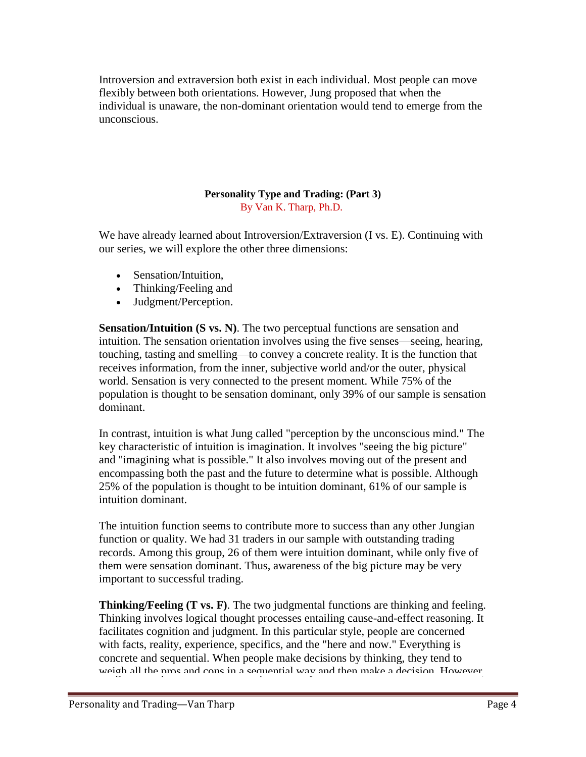Introversion and extraversion both exist in each individual. Most people can move flexibly between both orientations. However, Jung proposed that when the individual is unaware, the non-dominant orientation would tend to emerge from the unconscious.

## **Personality Type and Trading: (Part 3)** By Van K. Tharp, Ph.D.

We have already learned about Introversion/Extraversion (I vs. E). Continuing with our series, we will explore the other three dimensions:

- Sensation/Intuition.
- Thinking/Feeling and
- Judgment/Perception.

**Sensation/Intuition (S vs. N)**. The two perceptual functions are sensation and intuition. The sensation orientation involves using the five senses—seeing, hearing, touching, tasting and smelling—to convey a concrete reality. It is the function that receives information, from the inner, subjective world and/or the outer, physical world. Sensation is very connected to the present moment. While 75% of the population is thought to be sensation dominant, only 39% of our sample is sensation dominant.

In contrast, intuition is what Jung called "perception by the unconscious mind." The key characteristic of intuition is imagination. It involves "seeing the big picture" and "imagining what is possible." It also involves moving out of the present and encompassing both the past and the future to determine what is possible. Although 25% of the population is thought to be intuition dominant, 61% of our sample is intuition dominant.

The intuition function seems to contribute more to success than any other Jungian function or quality. We had 31 traders in our sample with outstanding trading records. Among this group, 26 of them were intuition dominant, while only five of them were sensation dominant. Thus, awareness of the big picture may be very important to successful trading.

**Thinking/Feeling (T vs. F)**. The two judgmental functions are thinking and feeling. Thinking involves logical thought processes entailing cause-and-effect reasoning. It facilitates cognition and judgment. In this particular style, people are concerned with facts, reality, experience, specifics, and the "here and now." Everything is concrete and sequential. When people make decisions by thinking, they tend to weigh all the pros and cons in a sequential way and then make a decision. However,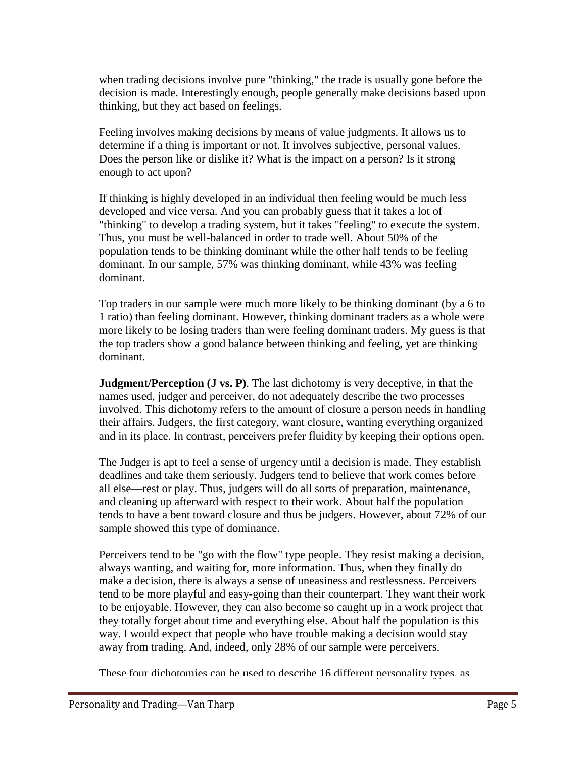when trading decisions involve pure "thinking," the trade is usually gone before the decision is made. Interestingly enough, people generally make decisions based upon thinking, but they act based on feelings.

Feeling involves making decisions by means of value judgments. It allows us to determine if a thing is important or not. It involves subjective, personal values. Does the person like or dislike it? What is the impact on a person? Is it strong enough to act upon?

If thinking is highly developed in an individual then feeling would be much less developed and vice versa. And you can probably guess that it takes a lot of "thinking" to develop a trading system, but it takes "feeling" to execute the system. Thus, you must be well-balanced in order to trade well. About 50% of the population tends to be thinking dominant while the other half tends to be feeling dominant. In our sample, 57% was thinking dominant, while 43% was feeling dominant.

Top traders in our sample were much more likely to be thinking dominant (by a 6 to 1 ratio) than feeling dominant. However, thinking dominant traders as a whole were more likely to be losing traders than were feeling dominant traders. My guess is that the top traders show a good balance between thinking and feeling, yet are thinking dominant.

**Judgment/Perception (J vs. P)**. The last dichotomy is very deceptive, in that the names used, judger and perceiver, do not adequately describe the two processes involved. This dichotomy refers to the amount of closure a person needs in handling their affairs. Judgers, the first category, want closure, wanting everything organized and in its place. In contrast, perceivers prefer fluidity by keeping their options open.

The Judger is apt to feel a sense of urgency until a decision is made. They establish deadlines and take them seriously. Judgers tend to believe that work comes before all else—rest or play. Thus, judgers will do all sorts of preparation, maintenance, and cleaning up afterward with respect to their work. About half the population tends to have a bent toward closure and thus be judgers. However, about 72% of our sample showed this type of dominance.

Perceivers tend to be "go with the flow" type people. They resist making a decision, always wanting, and waiting for, more information. Thus, when they finally do make a decision, there is always a sense of uneasiness and restlessness. Perceivers tend to be more playful and easy-going than their counterpart. They want their work to be enjoyable. However, they can also become so caught up in a work project that they totally forget about time and everything else. About half the population is this way. I would expect that people who have trouble making a decision would stay away from trading. And, indeed, only 28% of our sample were perceivers.

These four dichotomies can be used to describe 16 different personality types, as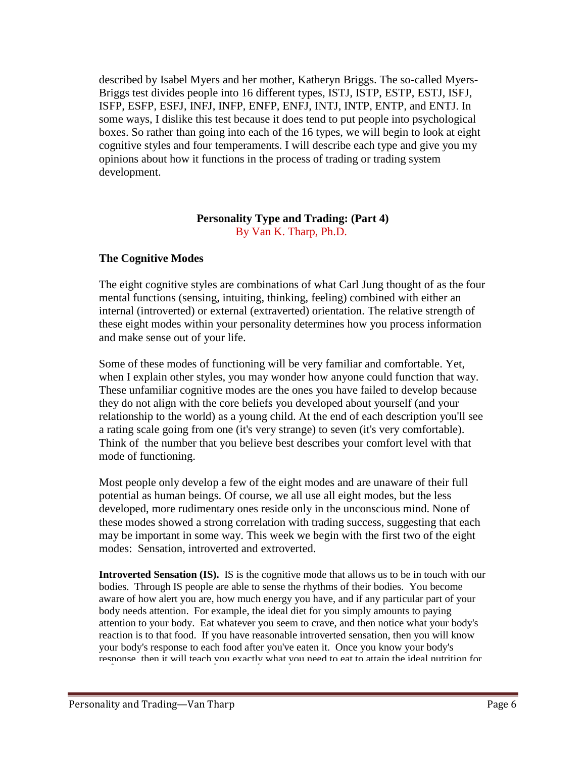described by Isabel Myers and her mother, Katheryn Briggs. The so-called Myers-Briggs test divides people into 16 different types, ISTJ, ISTP, ESTP, ESTJ, ISFJ, ISFP, ESFP, ESFJ, INFJ, INFP, ENFP, ENFJ, INTJ, INTP, ENTP, and ENTJ. In some ways, I dislike this test because it does tend to put people into psychological boxes. So rather than going into each of the 16 types, we will begin to look at eight cognitive styles and four temperaments. I will describe each type and give you my opinions about how it functions in the process of trading or trading system development.

#### **Personality Type and Trading: (Part 4)** By Van K. Tharp, Ph.D.

## **The Cognitive Modes**

The eight cognitive styles are combinations of what Carl Jung thought of as the four mental functions (sensing, intuiting, thinking, feeling) combined with either an internal (introverted) or external (extraverted) orientation. The relative strength of these eight modes within your personality determines how you process information and make sense out of your life.

Some of these modes of functioning will be very familiar and comfortable. Yet, when I explain other styles, you may wonder how anyone could function that way. These unfamiliar cognitive modes are the ones you have failed to develop because they do not align with the core beliefs you developed about yourself (and your relationship to the world) as a young child. At the end of each description you'll see a rating scale going from one (it's very strange) to seven (it's very comfortable). Think of the number that you believe best describes your comfort level with that mode of functioning.

Most people only develop a few of the eight modes and are unaware of their full potential as human beings. Of course, we all use all eight modes, but the less developed, more rudimentary ones reside only in the unconscious mind. None of these modes showed a strong correlation with trading success, suggesting that each may be important in some way. This week we begin with the first two of the eight modes: Sensation, introverted and extroverted.

**Introverted Sensation (IS).** IS is the cognitive mode that allows us to be in touch with our bodies. Through IS people are able to sense the rhythms of their bodies. You become aware of how alert you are, how much energy you have, and if any particular part of your body needs attention. For example, the ideal diet for you simply amounts to paying attention to your body. Eat whatever you seem to crave, and then notice what your body's reaction is to that food. If you have reasonable introverted sensation, then you will know your body's response to each food after you've eaten it. Once you know your body's response, then it will teach you exactly what you need to eat to attain the ideal nutrition for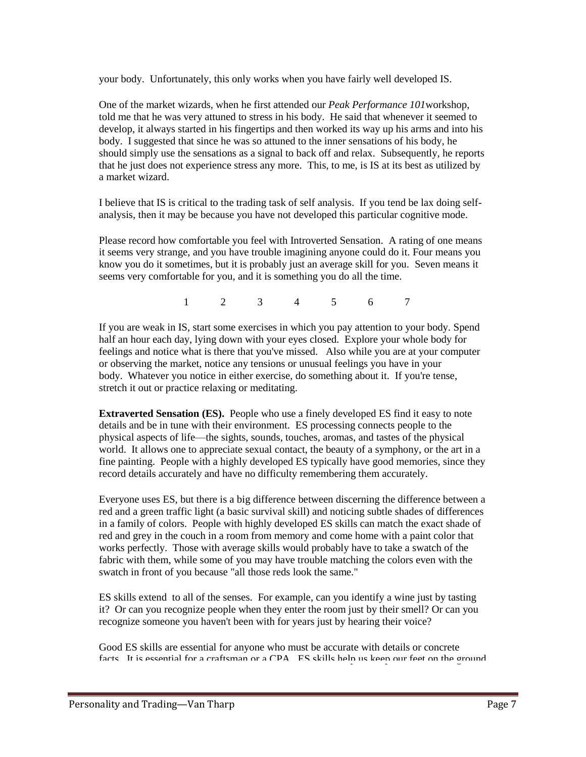your body. Unfortunately, this only works when you have fairly well developed IS.

One of the market wizards, when he first attended our *Peak Performance 101*workshop, told me that he was very attuned to stress in his body. He said that whenever it seemed to develop, it always started in his fingertips and then worked its way up his arms and into his body. I suggested that since he was so attuned to the inner sensations of his body, he should simply use the sensations as a signal to back off and relax. Subsequently, he reports that he just does not experience stress any more. This, to me, is IS at its best as utilized by a market wizard.

I believe that IS is critical to the trading task of self analysis. If you tend be lax doing selfanalysis, then it may be because you have not developed this particular cognitive mode.

Please record how comfortable you feel with Introverted Sensation. A rating of one means it seems very strange, and you have trouble imagining anyone could do it. Four means you know you do it sometimes, but it is probably just an average skill for you. Seven means it seems very comfortable for you, and it is something you do all the time.

1 2 3 4 5 6 7

If you are weak in IS, start some exercises in which you pay attention to your body. Spend half an hour each day, lying down with your eyes closed. Explore your whole body for feelings and notice what is there that you've missed. Also while you are at your computer or observing the market, notice any tensions or unusual feelings you have in your body. Whatever you notice in either exercise, do something about it. If you're tense, stretch it out or practice relaxing or meditating.

**Extraverted Sensation (ES).** People who use a finely developed ES find it easy to note details and be in tune with their environment. ES processing connects people to the physical aspects of life—the sights, sounds, touches, aromas, and tastes of the physical world. It allows one to appreciate sexual contact, the beauty of a symphony, or the art in a fine painting. People with a highly developed ES typically have good memories, since they record details accurately and have no difficulty remembering them accurately.

Everyone uses ES, but there is a big difference between discerning the difference between a red and a green traffic light (a basic survival skill) and noticing subtle shades of differences in a family of colors. People with highly developed ES skills can match the exact shade of red and grey in the couch in a room from memory and come home with a paint color that works perfectly. Those with average skills would probably have to take a swatch of the fabric with them, while some of you may have trouble matching the colors even with the swatch in front of you because "all those reds look the same."

ES skills extend to all of the senses. For example, can you identify a wine just by tasting it? Or can you recognize people when they enter the room just by their smell? Or can you recognize someone you haven't been with for years just by hearing their voice?

Good ES skills are essential for anyone who must be accurate with details or concrete facts. It is essential for a craftsman or a CPA. ES skills help us keep our feet on the ground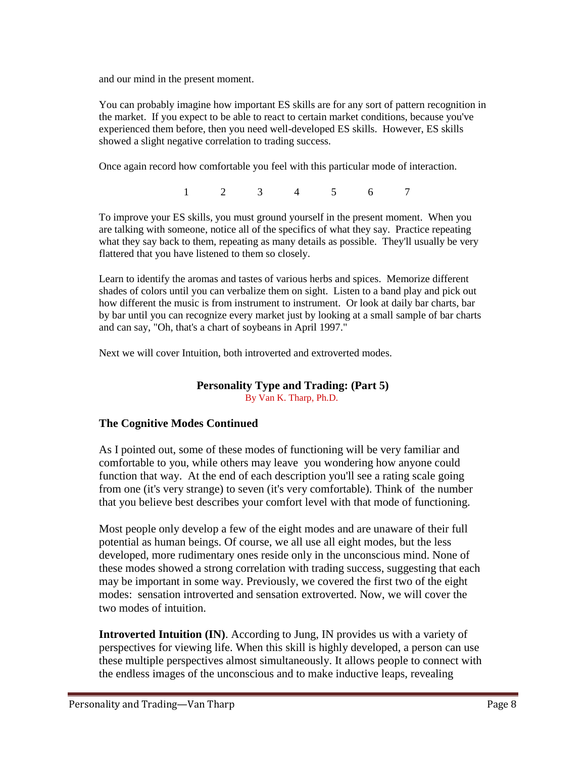and our mind in the present moment.

You can probably imagine how important ES skills are for any sort of pattern recognition in the market. If you expect to be able to react to certain market conditions, because you've experienced them before, then you need well-developed ES skills. However, ES skills showed a slight negative correlation to trading success.

Once again record how comfortable you feel with this particular mode of interaction.

1 2 3 4 5 6 7

To improve your ES skills, you must ground yourself in the present moment. When you are talking with someone, notice all of the specifics of what they say. Practice repeating what they say back to them, repeating as many details as possible. They'll usually be very flattered that you have listened to them so closely.

Learn to identify the aromas and tastes of various herbs and spices. Memorize different shades of colors until you can verbalize them on sight. Listen to a band play and pick out how different the music is from instrument to instrument. Or look at daily bar charts, bar by bar until you can recognize every market just by looking at a small sample of bar charts and can say, "Oh, that's a chart of soybeans in April 1997."

Next we will cover Intuition, both introverted and extroverted modes.

#### **Personality Type and Trading: (Part 5)** By Van K. Tharp, Ph.D.

# **The Cognitive Modes Continued**

As I pointed out, some of these modes of functioning will be very familiar and comfortable to you, while others may leave you wondering how anyone could function that way. At the end of each description you'll see a rating scale going from one (it's very strange) to seven (it's very comfortable). Think of the number that you believe best describes your comfort level with that mode of functioning.

Most people only develop a few of the eight modes and are unaware of their full potential as human beings. Of course, we all use all eight modes, but the less developed, more rudimentary ones reside only in the unconscious mind. None of these modes showed a strong correlation with trading success, suggesting that each may be important in some way. Previously, we covered the first two of the eight modes: sensation introverted and sensation extroverted. Now, we will cover the two modes of intuition.

**Introverted Intuition (IN)**. According to Jung, IN provides us with a variety of perspectives for viewing life. When this skill is highly developed, a person can use these multiple perspectives almost simultaneously. It allows people to connect with the endless images of the unconscious and to make inductive leaps, revealing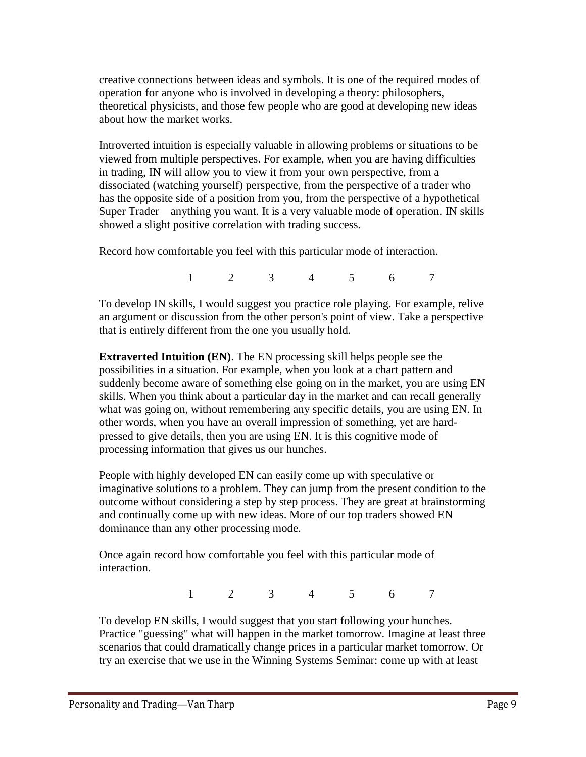creative connections between ideas and symbols. It is one of the required modes of operation for anyone who is involved in developing a theory: philosophers, theoretical physicists, and those few people who are good at developing new ideas about how the market works.

Introverted intuition is especially valuable in allowing problems or situations to be viewed from multiple perspectives. For example, when you are having difficulties in trading, IN will allow you to view it from your own perspective, from a dissociated (watching yourself) perspective, from the perspective of a trader who has the opposite side of a position from you, from the perspective of a hypothetical Super Trader—anything you want. It is a very valuable mode of operation. IN skills showed a slight positive correlation with trading success.

Record how comfortable you feel with this particular mode of interaction.

1 2 3 4 5 6 7

To develop IN skills, I would suggest you practice role playing. For example, relive an argument or discussion from the other person's point of view. Take a perspective that is entirely different from the one you usually hold.

**Extraverted Intuition (EN)**. The EN processing skill helps people see the possibilities in a situation. For example, when you look at a chart pattern and suddenly become aware of something else going on in the market, you are using EN skills. When you think about a particular day in the market and can recall generally what was going on, without remembering any specific details, you are using EN. In other words, when you have an overall impression of something, yet are hardpressed to give details, then you are using EN. It is this cognitive mode of processing information that gives us our hunches.

People with highly developed EN can easily come up with speculative or imaginative solutions to a problem. They can jump from the present condition to the outcome without considering a step by step process. They are great at brainstorming and continually come up with new ideas. More of our top traders showed EN dominance than any other processing mode.

Once again record how comfortable you feel with this particular mode of interaction.

1 2 3 4 5 6 7

To develop EN skills, I would suggest that you start following your hunches. Practice "guessing" what will happen in the market tomorrow. Imagine at least three scenarios that could dramatically change prices in a particular market tomorrow. Or try an exercise that we use in the Winning Systems Seminar: come up with at least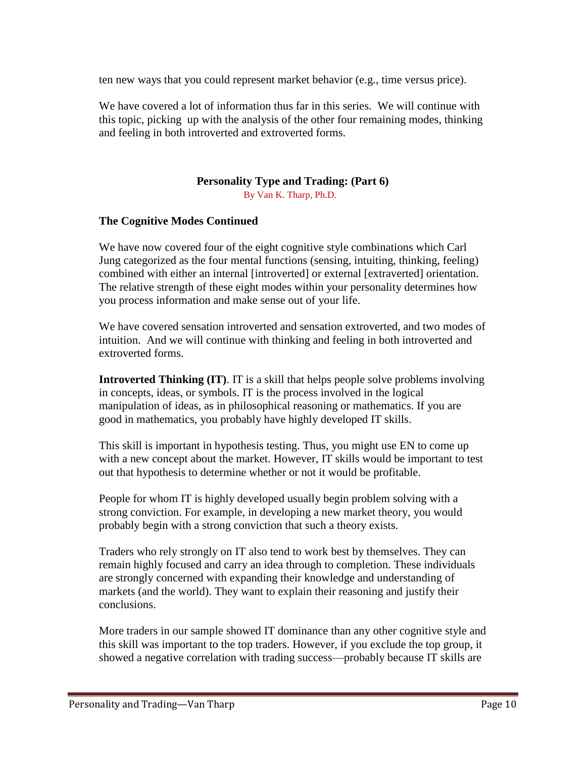ten new ways that you could represent market behavior (e.g., time versus price).

We have covered a lot of information thus far in this series. We will continue with this topic, picking up with the analysis of the other four remaining modes, thinking and feeling in both introverted and extroverted forms.

## **Personality Type and Trading: (Part 6)**

By Van K. Tharp, Ph.D.

## **The Cognitive Modes Continued**

We have now covered four of the eight cognitive style combinations which Carl Jung categorized as the four mental functions (sensing, intuiting, thinking, feeling) combined with either an internal [introverted] or external [extraverted] orientation. The relative strength of these eight modes within your personality determines how you process information and make sense out of your life.

We have covered sensation introverted and sensation extroverted, and two modes of intuition. And we will continue with thinking and feeling in both introverted and extroverted forms.

**Introverted Thinking (IT)**. IT is a skill that helps people solve problems involving in concepts, ideas, or symbols. IT is the process involved in the logical manipulation of ideas, as in philosophical reasoning or mathematics. If you are good in mathematics, you probably have highly developed IT skills.

This skill is important in hypothesis testing. Thus, you might use EN to come up with a new concept about the market. However, IT skills would be important to test out that hypothesis to determine whether or not it would be profitable.

People for whom IT is highly developed usually begin problem solving with a strong conviction. For example, in developing a new market theory, you would probably begin with a strong conviction that such a theory exists.

Traders who rely strongly on IT also tend to work best by themselves. They can remain highly focused and carry an idea through to completion. These individuals are strongly concerned with expanding their knowledge and understanding of markets (and the world). They want to explain their reasoning and justify their conclusions.

More traders in our sample showed IT dominance than any other cognitive style and this skill was important to the top traders. However, if you exclude the top group, it showed a negative correlation with trading success—probably because IT skills are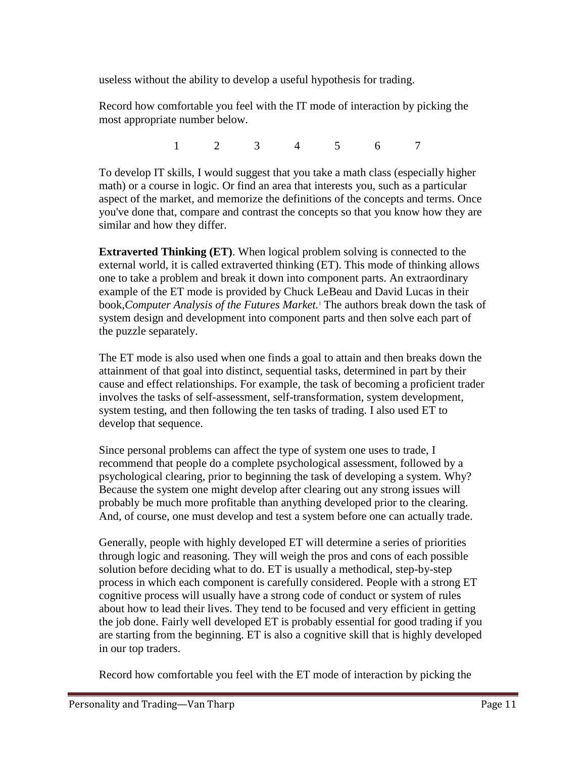useless without the ability to develop a useful hypothesis for trading.

Record how comfortable you feel with the IT mode of interaction by picking the most appropriate number below.

1 2 3 4 5 6 7

To develop IT skills, I would suggest that you take a math class (especially higher math) or a course in logic. Or find an area that interests you, such as a particular aspect of the market, and memorize the definitions of the concepts and terms. Once you've done that, compare and contrast the concepts so that you know how they are similar and how they differ.

**Extraverted Thinking (ET)**. When logical problem solving is connected to the external world, it is called extraverted thinking (ET). This mode of thinking allows one to take a problem and break it down into component parts. An extraordinary example of the ET mode is provided by Chuck LeBeau and David Lucas in their book,*Computer Analysis of the Futures Market.*<sup>1</sup> The authors break down the task of system design and development into component parts and then solve each part of the puzzle separately.

The ET mode is also used when one finds a goal to attain and then breaks down the attainment of that goal into distinct, sequential tasks, determined in part by their cause and effect relationships. For example, the task of becoming a proficient trader involves the tasks of self-assessment, self-transformation, system development, system testing, and then following the ten tasks of trading. I also used ET to develop that sequence.

Since personal problems can affect the type of system one uses to trade, I recommend that people do a complete psychological assessment, followed by a psychological clearing, prior to beginning the task of developing a system. Why? Because the system one might develop after clearing out any strong issues will probably be much more profitable than anything developed prior to the clearing. And, of course, one must develop and test a system before one can actually trade.

Generally, people with highly developed ET will determine a series of priorities through logic and reasoning. They will weigh the pros and cons of each possible solution before deciding what to do. ET is usually a methodical, step-by-step process in which each component is carefully considered. People with a strong ET cognitive process will usually have a strong code of conduct or system of rules about how to lead their lives. They tend to be focused and very efficient in getting the job done. Fairly well developed ET is probably essential for good trading if you are starting from the beginning. ET is also a cognitive skill that is highly developed in our top traders.

Record how comfortable you feel with the ET mode of interaction by picking the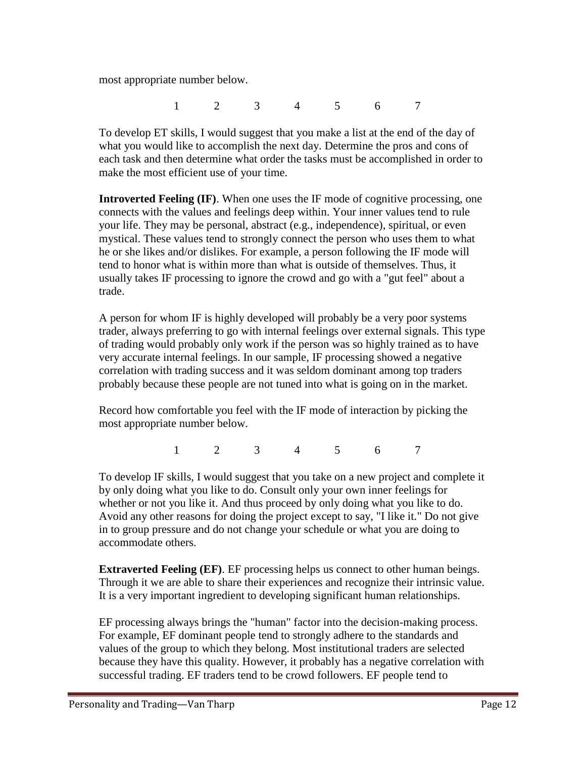most appropriate number below.

1 2 3 4 5 6 7

To develop ET skills, I would suggest that you make a list at the end of the day of what you would like to accomplish the next day. Determine the pros and cons of each task and then determine what order the tasks must be accomplished in order to make the most efficient use of your time.

**Introverted Feeling (IF)**. When one uses the IF mode of cognitive processing, one connects with the values and feelings deep within. Your inner values tend to rule your life. They may be personal, abstract (e.g., independence), spiritual, or even mystical. These values tend to strongly connect the person who uses them to what he or she likes and/or dislikes. For example, a person following the IF mode will tend to honor what is within more than what is outside of themselves. Thus, it usually takes IF processing to ignore the crowd and go with a "gut feel" about a trade.

A person for whom IF is highly developed will probably be a very poor systems trader, always preferring to go with internal feelings over external signals. This type of trading would probably only work if the person was so highly trained as to have very accurate internal feelings. In our sample, IF processing showed a negative correlation with trading success and it was seldom dominant among top traders probably because these people are not tuned into what is going on in the market.

Record how comfortable you feel with the IF mode of interaction by picking the most appropriate number below.

1 2 3 4 5 6 7

To develop IF skills, I would suggest that you take on a new project and complete it by only doing what you like to do. Consult only your own inner feelings for whether or not you like it. And thus proceed by only doing what you like to do. Avoid any other reasons for doing the project except to say, "I like it." Do not give in to group pressure and do not change your schedule or what you are doing to accommodate others.

**Extraverted Feeling (EF).** EF processing helps us connect to other human beings. Through it we are able to share their experiences and recognize their intrinsic value. It is a very important ingredient to developing significant human relationships.

EF processing always brings the "human" factor into the decision-making process. For example, EF dominant people tend to strongly adhere to the standards and values of the group to which they belong. Most institutional traders are selected because they have this quality. However, it probably has a negative correlation with successful trading. EF traders tend to be crowd followers. EF people tend to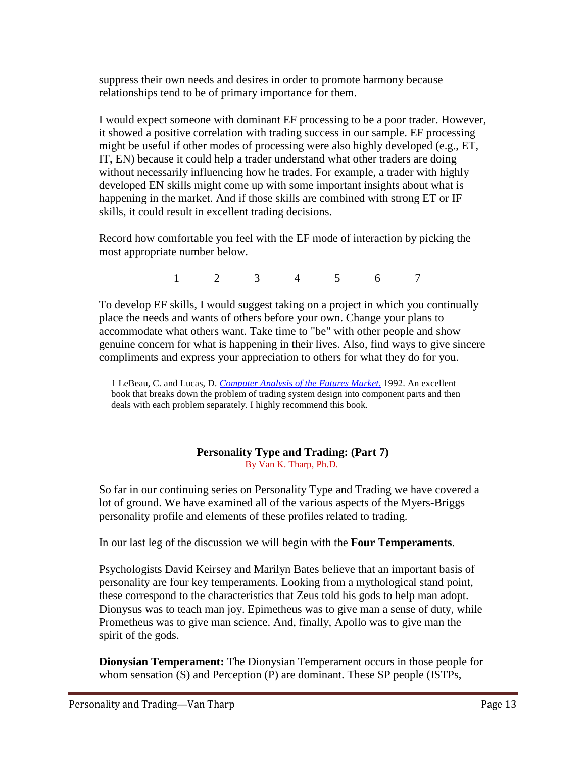suppress their own needs and desires in order to promote harmony because relationships tend to be of primary importance for them.

I would expect someone with dominant EF processing to be a poor trader. However, it showed a positive correlation with trading success in our sample. EF processing might be useful if other modes of processing were also highly developed (e.g., ET, IT, EN) because it could help a trader understand what other traders are doing without necessarily influencing how he trades. For example, a trader with highly developed EN skills might come up with some important insights about what is happening in the market. And if those skills are combined with strong ET or IF skills, it could result in excellent trading decisions.

Record how comfortable you feel with the EF mode of interaction by picking the most appropriate number below.

1 2 3 4 5 6 7

To develop EF skills, I would suggest taking on a project in which you continually place the needs and wants of others before your own. Change your plans to accommodate what others want. Take time to "be" with other people and show genuine concern for what is happening in their lives. Also, find ways to give sincere compliments and express your appreciation to others for what they do for you.

1 LeBeau, C. and Lucas, D. *[Computer Analysis of the Futures Market.](http://www.kickstartcart.com/app/netcart.asp?MerchantID=57613&ProductID=2772988)* 1992. An excellent book that breaks down the problem of trading system design into component parts and then deals with each problem separately. I highly recommend this book.

#### **Personality Type and Trading: (Part 7)** By Van K. Tharp, Ph.D.

So far in our continuing series on Personality Type and Trading we have covered a lot of ground. We have examined all of the various aspects of the Myers-Briggs personality profile and elements of these profiles related to trading.

In our last leg of the discussion we will begin with the **Four Temperaments**.

Psychologists David Keirsey and Marilyn Bates believe that an important basis of personality are four key temperaments. Looking from a mythological stand point, these correspond to the characteristics that Zeus told his gods to help man adopt. Dionysus was to teach man joy. Epimetheus was to give man a sense of duty, while Prometheus was to give man science. And, finally, Apollo was to give man the spirit of the gods.

**Dionysian Temperament:** The Dionysian Temperament occurs in those people for whom sensation (S) and Perception (P) are dominant. These SP people (ISTPs,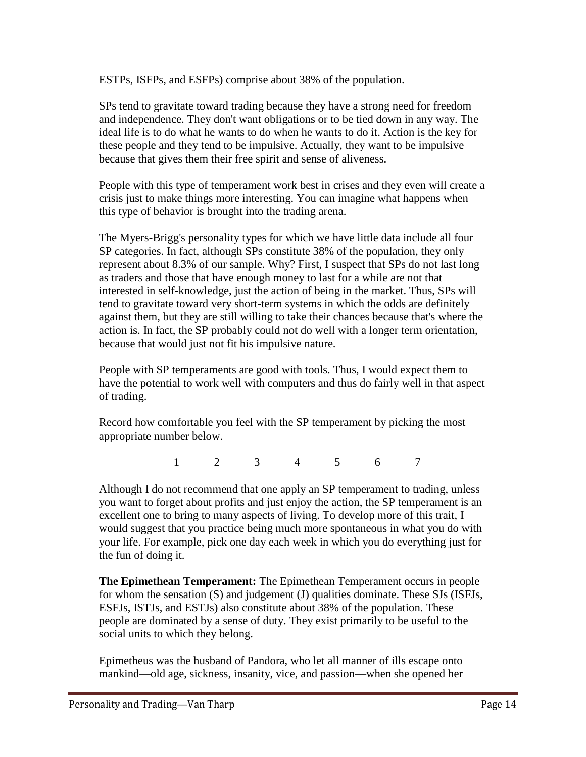ESTPs, ISFPs, and ESFPs) comprise about 38% of the population.

SPs tend to gravitate toward trading because they have a strong need for freedom and independence. They don't want obligations or to be tied down in any way. The ideal life is to do what he wants to do when he wants to do it. Action is the key for these people and they tend to be impulsive. Actually, they want to be impulsive because that gives them their free spirit and sense of aliveness.

People with this type of temperament work best in crises and they even will create a crisis just to make things more interesting. You can imagine what happens when this type of behavior is brought into the trading arena.

The Myers-Brigg's personality types for which we have little data include all four SP categories. In fact, although SPs constitute 38% of the population, they only represent about 8.3% of our sample. Why? First, I suspect that SPs do not last long as traders and those that have enough money to last for a while are not that interested in self-knowledge, just the action of being in the market. Thus, SPs will tend to gravitate toward very short-term systems in which the odds are definitely against them, but they are still willing to take their chances because that's where the action is. In fact, the SP probably could not do well with a longer term orientation, because that would just not fit his impulsive nature.

People with SP temperaments are good with tools. Thus, I would expect them to have the potential to work well with computers and thus do fairly well in that aspect of trading.

Record how comfortable you feel with the SP temperament by picking the most appropriate number below.

1 2 3 4 5 6 7

Although I do not recommend that one apply an SP temperament to trading, unless you want to forget about profits and just enjoy the action, the SP temperament is an excellent one to bring to many aspects of living. To develop more of this trait, I would suggest that you practice being much more spontaneous in what you do with your life. For example, pick one day each week in which you do everything just for the fun of doing it.

**The Epimethean Temperament:** The Epimethean Temperament occurs in people for whom the sensation (S) and judgement (J) qualities dominate. These SJs (ISFJs, ESFJs, ISTJs, and ESTJs) also constitute about 38% of the population. These people are dominated by a sense of duty. They exist primarily to be useful to the social units to which they belong.

Epimetheus was the husband of Pandora, who let all manner of ills escape onto mankind—old age, sickness, insanity, vice, and passion—when she opened her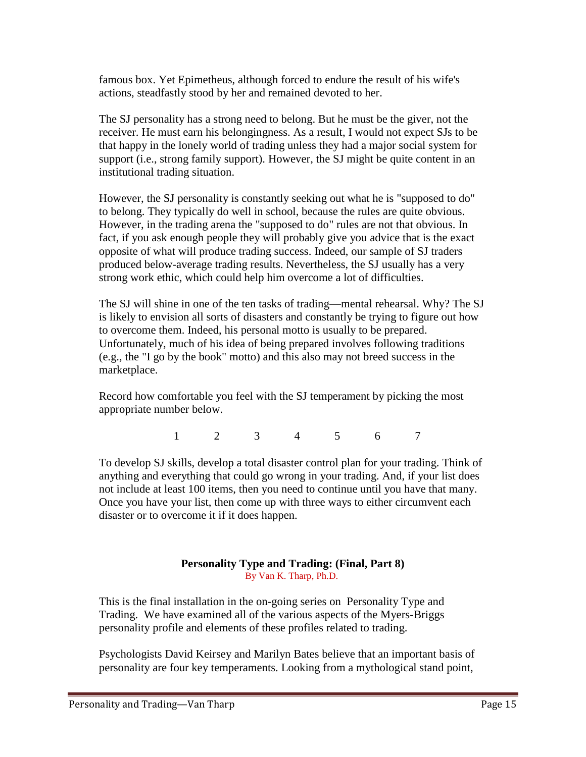famous box. Yet Epimetheus, although forced to endure the result of his wife's actions, steadfastly stood by her and remained devoted to her.

The SJ personality has a strong need to belong. But he must be the giver, not the receiver. He must earn his belongingness. As a result, I would not expect SJs to be that happy in the lonely world of trading unless they had a major social system for support (i.e., strong family support). However, the SJ might be quite content in an institutional trading situation.

However, the SJ personality is constantly seeking out what he is "supposed to do" to belong. They typically do well in school, because the rules are quite obvious. However, in the trading arena the "supposed to do" rules are not that obvious. In fact, if you ask enough people they will probably give you advice that is the exact opposite of what will produce trading success. Indeed, our sample of SJ traders produced below-average trading results. Nevertheless, the SJ usually has a very strong work ethic, which could help him overcome a lot of difficulties.

The SJ will shine in one of the ten tasks of trading—mental rehearsal. Why? The SJ is likely to envision all sorts of disasters and constantly be trying to figure out how to overcome them. Indeed, his personal motto is usually to be prepared. Unfortunately, much of his idea of being prepared involves following traditions (e.g., the "I go by the book" motto) and this also may not breed success in the marketplace.

Record how comfortable you feel with the SJ temperament by picking the most appropriate number below.

1 2 3 4 5 6 7

To develop SJ skills, develop a total disaster control plan for your trading. Think of anything and everything that could go wrong in your trading. And, if your list does not include at least 100 items, then you need to continue until you have that many. Once you have your list, then come up with three ways to either circumvent each disaster or to overcome it if it does happen.

## **Personality Type and Trading: (Final, Part 8)** By Van K. Tharp, Ph.D.

This is the final installation in the on-going series on Personality Type and Trading. We have examined all of the various aspects of the Myers-Briggs personality profile and elements of these profiles related to trading.

Psychologists David Keirsey and Marilyn Bates believe that an important basis of personality are four key temperaments. Looking from a mythological stand point,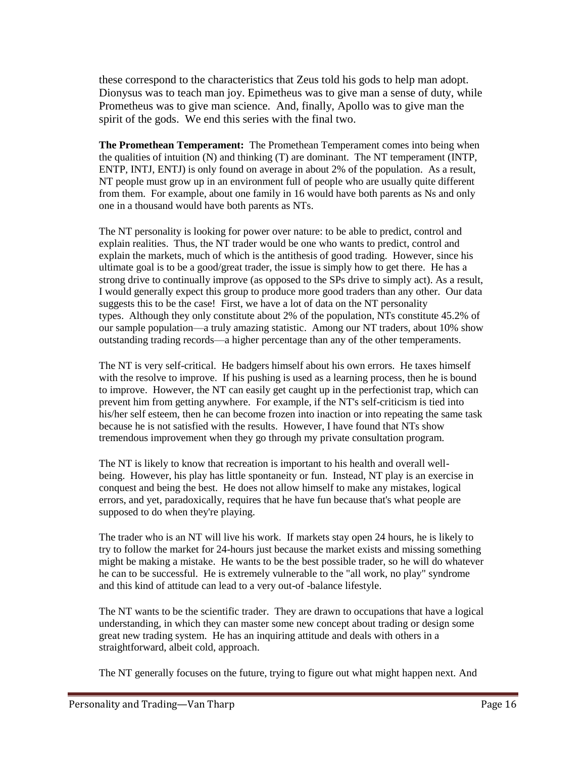these correspond to the characteristics that Zeus told his gods to help man adopt. Dionysus was to teach man joy. Epimetheus was to give man a sense of duty, while Prometheus was to give man science. And, finally, Apollo was to give man the spirit of the gods. We end this series with the final two.

**The Promethean Temperament:** The Promethean Temperament comes into being when the qualities of intuition (N) and thinking (T) are dominant. The NT temperament (INTP, ENTP, INTJ, ENTJ) is only found on average in about 2% of the population. As a result, NT people must grow up in an environment full of people who are usually quite different from them. For example, about one family in 16 would have both parents as Ns and only one in a thousand would have both parents as NTs.

The NT personality is looking for power over nature: to be able to predict, control and explain realities. Thus, the NT trader would be one who wants to predict, control and explain the markets, much of which is the antithesis of good trading. However, since his ultimate goal is to be a good/great trader, the issue is simply how to get there. He has a strong drive to continually improve (as opposed to the SPs drive to simply act). As a result, I would generally expect this group to produce more good traders than any other. Our data suggests this to be the case! First, we have a lot of data on the NT personality types. Although they only constitute about 2% of the population, NTs constitute 45.2% of our sample population—a truly amazing statistic. Among our NT traders, about 10% show outstanding trading records—a higher percentage than any of the other temperaments.

The NT is very self-critical. He badgers himself about his own errors. He taxes himself with the resolve to improve. If his pushing is used as a learning process, then he is bound to improve. However, the NT can easily get caught up in the perfectionist trap, which can prevent him from getting anywhere. For example, if the NT's self-criticism is tied into his/her self esteem, then he can become frozen into inaction or into repeating the same task because he is not satisfied with the results. However, I have found that NTs show tremendous improvement when they go through my private consultation program.

The NT is likely to know that recreation is important to his health and overall wellbeing. However, his play has little spontaneity or fun. Instead, NT play is an exercise in conquest and being the best. He does not allow himself to make any mistakes, logical errors, and yet, paradoxically, requires that he have fun because that's what people are supposed to do when they're playing.

The trader who is an NT will live his work. If markets stay open 24 hours, he is likely to try to follow the market for 24-hours just because the market exists and missing something might be making a mistake. He wants to be the best possible trader, so he will do whatever he can to be successful. He is extremely vulnerable to the "all work, no play" syndrome and this kind of attitude can lead to a very out-of -balance lifestyle.

The NT wants to be the scientific trader. They are drawn to occupations that have a logical understanding, in which they can master some new concept about trading or design some great new trading system. He has an inquiring attitude and deals with others in a straightforward, albeit cold, approach.

The NT generally focuses on the future, trying to figure out what might happen next. And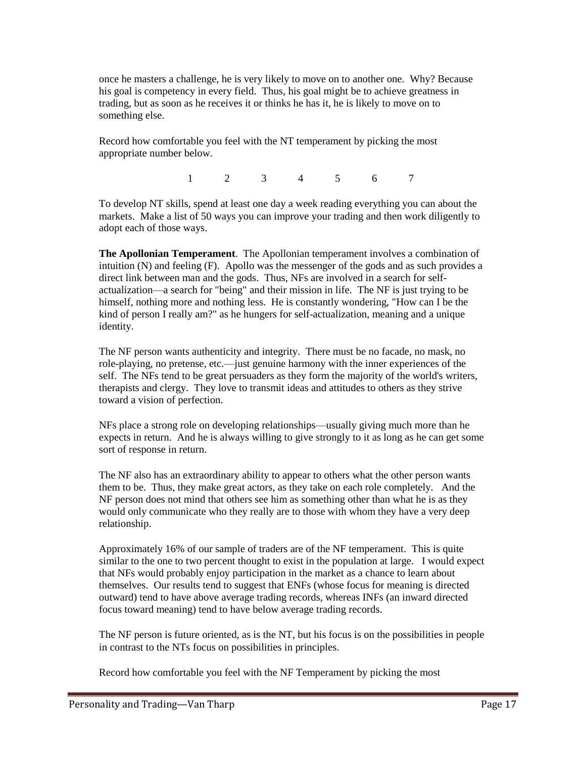once he masters a challenge, he is very likely to move on to another one. Why? Because his goal is competency in every field. Thus, his goal might be to achieve greatness in trading, but as soon as he receives it or thinks he has it, he is likely to move on to something else.

Record how comfortable you feel with the NT temperament by picking the most appropriate number below.

1 2 3 4 5 6 7

To develop NT skills, spend at least one day a week reading everything you can about the markets. Make a list of 50 ways you can improve your trading and then work diligently to adopt each of those ways.

**The Apollonian Temperament**. The Apollonian temperament involves a combination of intuition (N) and feeling (F). Apollo was the messenger of the gods and as such provides a direct link between man and the gods. Thus, NFs are involved in a search for selfactualization—a search for "being" and their mission in life. The NF is just trying to be himself, nothing more and nothing less. He is constantly wondering, "How can I be the kind of person I really am?" as he hungers for self-actualization, meaning and a unique identity.

The NF person wants authenticity and integrity. There must be no facade, no mask, no role-playing, no pretense, etc.—just genuine harmony with the inner experiences of the self. The NFs tend to be great persuaders as they form the majority of the world's writers, therapists and clergy. They love to transmit ideas and attitudes to others as they strive toward a vision of perfection.

NFs place a strong role on developing relationships—usually giving much more than he expects in return. And he is always willing to give strongly to it as long as he can get some sort of response in return.

The NF also has an extraordinary ability to appear to others what the other person wants them to be. Thus, they make great actors, as they take on each role completely. And the NF person does not mind that others see him as something other than what he is as they would only communicate who they really are to those with whom they have a very deep relationship.

Approximately 16% of our sample of traders are of the NF temperament. This is quite similar to the one to two percent thought to exist in the population at large. I would expect that NFs would probably enjoy participation in the market as a chance to learn about themselves. Our results tend to suggest that ENFs (whose focus for meaning is directed outward) tend to have above average trading records, whereas INFs (an inward directed focus toward meaning) tend to have below average trading records.

The NF person is future oriented, as is the NT, but his focus is on the possibilities in people in contrast to the NTs focus on possibilities in principles.

Record how comfortable you feel with the NF Temperament by picking the most